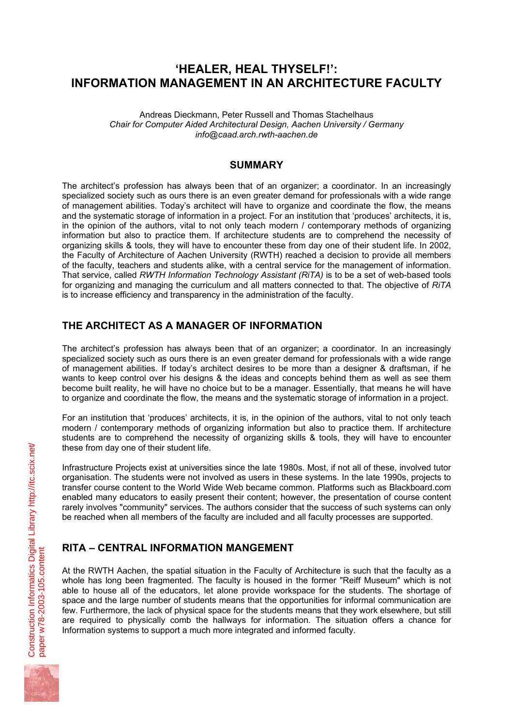# **'HEALER, HEAL THYSELF!': INFORMATION MANAGEMENT IN AN ARCHITECTURE FACULTY**

Andreas Dieckmann, Peter Russell and Thomas Stachelhaus *Chair for Computer Aided Architectural Design, Aachen University / Germany info@caad.arch.rwth-aachen.de* 

### **SUMMARY**

The architect's profession has always been that of an organizer; a coordinator. In an increasingly specialized society such as ours there is an even greater demand for professionals with a wide range of management abilities. Today's architect will have to organize and coordinate the flow, the means and the systematic storage of information in a project. For an institution that 'produces' architects, it is, in the opinion of the authors, vital to not only teach modern / contemporary methods of organizing information but also to practice them. If architecture students are to comprehend the necessity of organizing skills & tools, they will have to encounter these from day one of their student life. In 2002, the Faculty of Architecture of Aachen University (RWTH) reached a decision to provide all members of the faculty, teachers and students alike, with a central service for the management of information. That service, called *RWTH Information Technology Assistant (RiTA)* is to be a set of web-based tools for organizing and managing the curriculum and all matters connected to that. The objective of *RiTA* is to increase efficiency and transparency in the administration of the faculty.

# **THE ARCHITECT AS A MANAGER OF INFORMATION**

The architect's profession has always been that of an organizer; a coordinator. In an increasingly specialized society such as ours there is an even greater demand for professionals with a wide range of management abilities. If today's architect desires to be more than a designer & draftsman, if he wants to keep control over his designs & the ideas and concepts behind them as well as see them become built reality, he will have no choice but to be a manager. Essentially, that means he will have to organize and coordinate the flow, the means and the systematic storage of information in a project.

For an institution that 'produces' architects, it is, in the opinion of the authors, vital to not only teach modern / contemporary methods of organizing information but also to practice them. If architecture students are to comprehend the necessity of organizing skills & tools, they will have to encounter these from day one of their student life.

Infrastructure Projects exist at universities since the late 1980s. Most, if not all of these, involved tutor organisation. The students were not involved as users in these systems. In the late 1990s, projects to transfer course content to the World Wide Web became common. Platforms such as Blackboard.com enabled many educators to easily present their content; however, the presentation of course content rarely involves "community" services. The authors consider that the success of such systems can only be reached when all members of the faculty are included and all faculty processes are supported.

# **RITA – CENTRAL INFORMATION MANGEMENT**

At the RWTH Aachen, the spatial situation in the Faculty of Architecture is such that the faculty as a whole has long been fragmented. The faculty is housed in the former "Reiff Museum" which is not able to house all of the educators, let alone provide workspace for the students. The shortage of space and the large number of students means that the opportunities for informal communication are few. Furthermore, the lack of physical space for the students means that they work elsewhere, but still are required to physically comb the hallways for information. The situation offers a chance for Information systems to support a much more integrated and informed faculty.

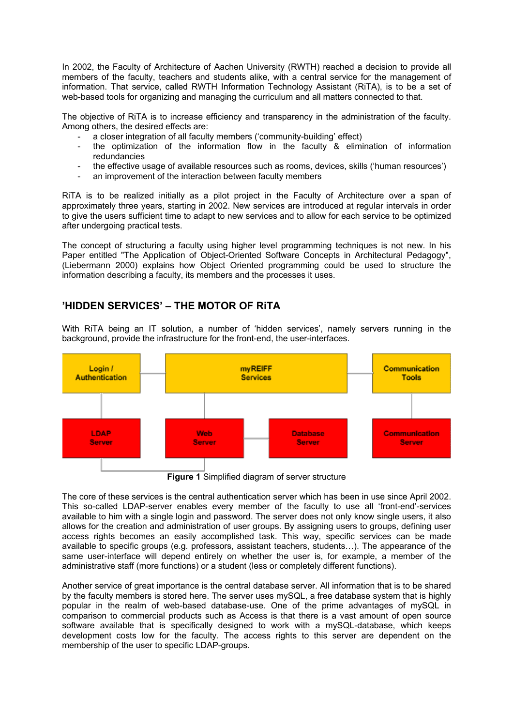In 2002, the Faculty of Architecture of Aachen University (RWTH) reached a decision to provide all members of the faculty, teachers and students alike, with a central service for the management of information. That service, called RWTH Information Technology Assistant (RiTA), is to be a set of web-based tools for organizing and managing the curriculum and all matters connected to that.

The objective of RiTA is to increase efficiency and transparency in the administration of the faculty. Among others, the desired effects are:

- a closer integration of all faculty members ('community-building' effect)
- the optimization of the information flow in the faculty & elimination of information redundancies
- the effective usage of available resources such as rooms, devices, skills ('human resources')
- an improvement of the interaction between faculty members

RiTA is to be realized initially as a pilot project in the Faculty of Architecture over a span of approximately three years, starting in 2002. New services are introduced at regular intervals in order to give the users sufficient time to adapt to new services and to allow for each service to be optimized after undergoing practical tests.

The concept of structuring a faculty using higher level programming techniques is not new. In his Paper entitled "The Application of Object-Oriented Software Concepts in Architectural Pedagogy", (Liebermann 2000) explains how Object Oriented programming could be used to structure the information describing a faculty, its members and the processes it uses.

# **'HIDDEN SERVICES' – THE MOTOR OF RiTA**

With RiTA being an IT solution, a number of 'hidden services', namely servers running in the background, provide the infrastructure for the front-end, the user-interfaces.



**Figure 1** Simplified diagram of server structure

The core of these services is the central authentication server which has been in use since April 2002. This so-called LDAP-server enables every member of the faculty to use all 'front-end'-services available to him with a single login and password. The server does not only know single users, it also allows for the creation and administration of user groups. By assigning users to groups, defining user access rights becomes an easily accomplished task. This way, specific services can be made available to specific groups (e.g. professors, assistant teachers, students…). The appearance of the same user-interface will depend entirely on whether the user is, for example, a member of the administrative staff (more functions) or a student (less or completely different functions).

Another service of great importance is the central database server. All information that is to be shared by the faculty members is stored here. The server uses mySQL, a free database system that is highly popular in the realm of web-based database-use. One of the prime advantages of mySQL in comparison to commercial products such as Access is that there is a vast amount of open source software available that is specifically designed to work with a mySQL-database, which keeps development costs low for the faculty. The access rights to this server are dependent on the membership of the user to specific LDAP-groups.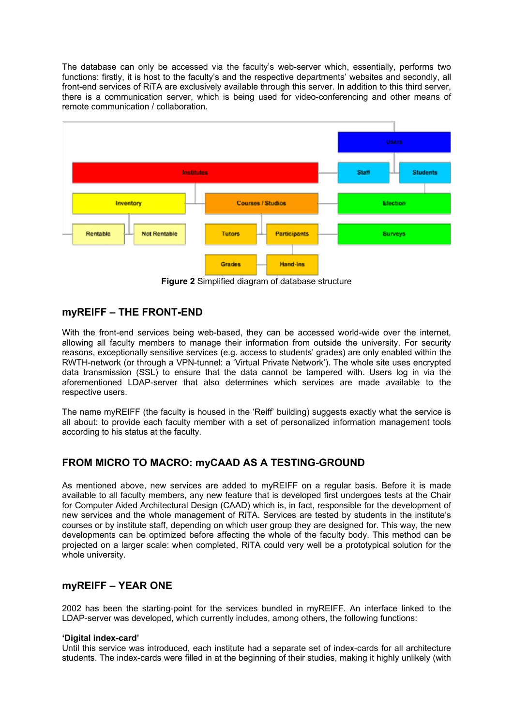The database can only be accessed via the faculty's web-server which, essentially, performs two functions: firstly, it is host to the faculty's and the respective departments' websites and secondly, all front-end services of RiTA are exclusively available through this server. In addition to this third server, there is a communication server, which is being used for video-conferencing and other means of remote communication / collaboration.



**Figure 2** Simplified diagram of database structure

# **myREIFF – THE FRONT-END**

With the front-end services being web-based, they can be accessed world-wide over the internet, allowing all faculty members to manage their information from outside the university. For security reasons, exceptionally sensitive services (e.g. access to students' grades) are only enabled within the RWTH-network (or through a VPN-tunnel: a 'Virtual Private Network'). The whole site uses encrypted data transmission (SSL) to ensure that the data cannot be tampered with. Users log in via the aforementioned LDAP-server that also determines which services are made available to the respective users.

The name myREIFF (the faculty is housed in the 'Reiff' building) suggests exactly what the service is all about: to provide each faculty member with a set of personalized information management tools according to his status at the faculty.

# **FROM MICRO TO MACRO: myCAAD AS A TESTING-GROUND**

As mentioned above, new services are added to myREIFF on a regular basis. Before it is made available to all faculty members, any new feature that is developed first undergoes tests at the Chair for Computer Aided Architectural Design (CAAD) which is, in fact, responsible for the development of new services and the whole management of RiTA. Services are tested by students in the institute's courses or by institute staff, depending on which user group they are designed for. This way, the new developments can be optimized before affecting the whole of the faculty body. This method can be projected on a larger scale: when completed, RiTA could very well be a prototypical solution for the whole university.

# **myREIFF – YEAR ONE**

2002 has been the starting-point for the services bundled in myREIFF. An interface linked to the LDAP-server was developed, which currently includes, among others, the following functions:

#### **'Digital index-card'**

Until this service was introduced, each institute had a separate set of index-cards for all architecture students. The index-cards were filled in at the beginning of their studies, making it highly unlikely (with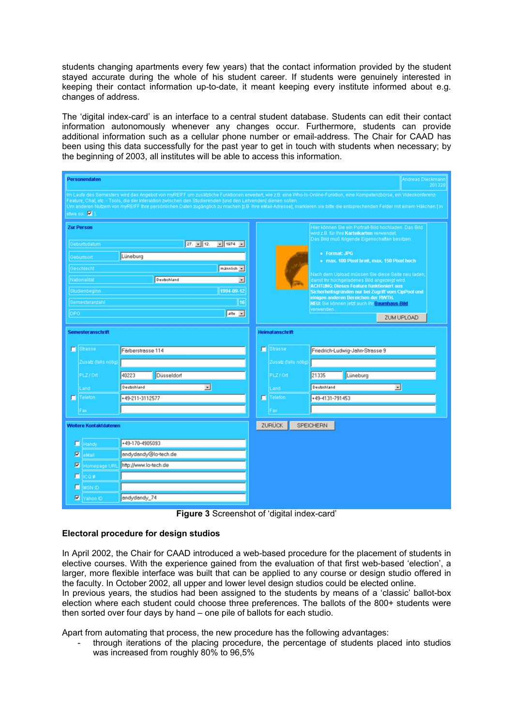students changing apartments every few years) that the contact information provided by the student stayed accurate during the whole of his student career. If students were genuinely interested in keeping their contact information up-to-date, it meant keeping every institute informed about e.g. changes of address.

The 'digital index-card' is an interface to a central student database. Students can edit their contact information autonomously whenever any changes occur. Furthermore, students can provide additional information such as a cellular phone number or email-address. The Chair for CAAD has been using this data successfully for the past year to get in touch with students when necessary; by the beginning of 2003, all institutes will be able to access this information.

|      | Personendaten            |                                                                                                               | Andreas Dieckmann<br>201328                                                                                                                                                                                                                                                                                                                           |
|------|--------------------------|---------------------------------------------------------------------------------------------------------------|-------------------------------------------------------------------------------------------------------------------------------------------------------------------------------------------------------------------------------------------------------------------------------------------------------------------------------------------------------|
|      | etwa so: M               | Feature, Chat, etc. - Tools, die der Interaktion zwischen den Studierenden (und den Lehrenden) dienen sollen. | Im Laufe des Semesters wird das Angebot von myREIFF um zusätzliche Funktionen erweitert, wie z.B. eine Who-Is-Online-Funktion, eine Kompetenzbörse, ein Videokonferenz-<br>Jm anderen Nutzern von myREIFF Ihre persönlichen Daten zugänglich zu machen [z.B. Ihre eMail-Adresse], markieren sie bitte die entsprechenden Felder mit einem Häkchen [in |
|      | <b>Zur Person</b>        |                                                                                                               | Hier können Sie ein Portrait-Bild hochladen. Das Bild<br>wird z.B. für Ihre Karteikarten verwendet.                                                                                                                                                                                                                                                   |
|      | Geburtsdatum             | 27. U 12. U 1974 U                                                                                            | Das Bild muß folgende Eigenschaften besitzen:                                                                                                                                                                                                                                                                                                         |
|      | Geburtsort               | Lüneburg                                                                                                      | • Format: JPG<br>· max. 100 Pixel breit, max. 150 Pixel hoch                                                                                                                                                                                                                                                                                          |
|      | Geschlecht               | männlich v                                                                                                    | Nach dem Upload müssen Sie diese Seite neu laden,                                                                                                                                                                                                                                                                                                     |
|      | Nationalität             | Deutschland<br>$\cdot$                                                                                        | damit Ihr hochgeladenes Bild angezeigt wird.<br><b>ACHTUNG: Dieses Feature funktioniert aus</b>                                                                                                                                                                                                                                                       |
|      | Studienbeginn            | 1994-09-12                                                                                                    | Sicherheitsgründen nur bei Zugriff vom CipPool und<br>einigen anderen Bereichen der RWTH.                                                                                                                                                                                                                                                             |
| DPO. | Semesteranzahl           | 16<br>alte $\vert$ =                                                                                          | NEU: Sie können jetzt auch Ihr Baumhaus-Bild<br>verwenden.                                                                                                                                                                                                                                                                                            |
|      |                          |                                                                                                               | ZUM UPLOAD                                                                                                                                                                                                                                                                                                                                            |
|      | <b>Semesteranschrift</b> |                                                                                                               | Heimatanschrift                                                                                                                                                                                                                                                                                                                                       |
| п    | <b>Strasse</b>           | Färberstrasse 114                                                                                             | <b>Strasse</b><br>п<br>Friedrich-Ludwig-Jahn-Strasse 9                                                                                                                                                                                                                                                                                                |
|      | Zusatz (falls nötig)     |                                                                                                               | Zusatz (falls nötig)                                                                                                                                                                                                                                                                                                                                  |
|      | PLZ/Ort                  | 40223<br>Düsseldorf                                                                                           | PLZ/Ort<br>21335<br>Lüneburg                                                                                                                                                                                                                                                                                                                          |
|      | Land                     | $\overline{\phantom{0}}$<br>Deutschland                                                                       | $\overline{\phantom{a}}$<br>Deutschland<br>Land                                                                                                                                                                                                                                                                                                       |
| п    | <b>Telefon</b>           | +49-211-3112577                                                                                               | п<br><b>Telefon</b><br>+49-4131-791453                                                                                                                                                                                                                                                                                                                |
|      | Fax                      |                                                                                                               | Fax                                                                                                                                                                                                                                                                                                                                                   |
|      | Weitere Kontaktdatenen   |                                                                                                               | ZURÜCK<br>SPEICHERN                                                                                                                                                                                                                                                                                                                                   |
| п    | Handy                    | +49-170-4905093                                                                                               |                                                                                                                                                                                                                                                                                                                                                       |
| ⊽    | eMail                    | andydandy@lo-tech.de                                                                                          |                                                                                                                                                                                                                                                                                                                                                       |
| ◸    | Homepage URL             | http://www.lo-tech.de                                                                                         |                                                                                                                                                                                                                                                                                                                                                       |
|      | ICQ #                    |                                                                                                               |                                                                                                                                                                                                                                                                                                                                                       |
| г    | <b>MSNID</b>             |                                                                                                               |                                                                                                                                                                                                                                                                                                                                                       |
| 罓    | Yahoo ID                 | andydandy_74                                                                                                  |                                                                                                                                                                                                                                                                                                                                                       |

**Figure 3** Screenshot of 'digital index-card'

### **Electoral procedure for design studios**

In April 2002, the Chair for CAAD introduced a web-based procedure for the placement of students in elective courses. With the experience gained from the evaluation of that first web-based 'election', a larger, more flexible interface was built that can be applied to any course or design studio offered in the faculty. In October 2002, all upper and lower level design studios could be elected online.

In previous years, the studios had been assigned to the students by means of a 'classic' ballot-box election where each student could choose three preferences. The ballots of the 800+ students were then sorted over four days by hand – one pile of ballots for each studio.

Apart from automating that process, the new procedure has the following advantages:

- through iterations of the placing procedure, the percentage of students placed into studios was increased from roughly 80% to 96,5%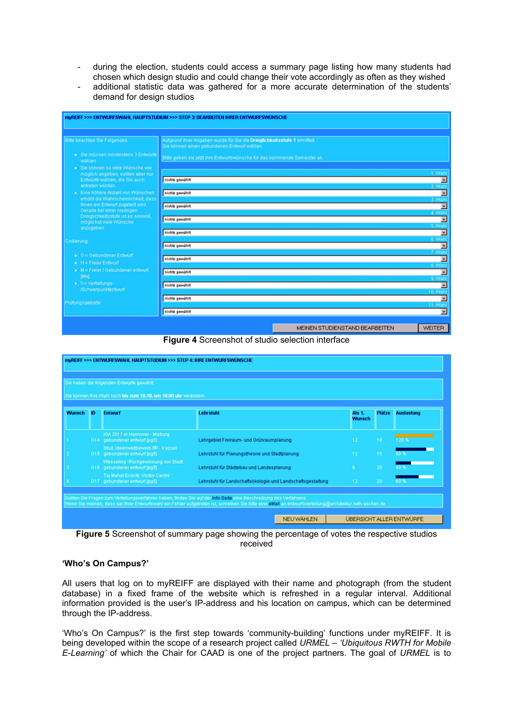- during the election, students could access a summary page listing how many students had chosen which design studio and could change their vote accordingly as often as they wished additional statistic data was gathered for a more accurate determination of the students'
- demand for design studios





| myREIFF >>> ENTWURFSWAHL HAUPTSTUDIUM >>> STEP 4: IHRE ENTWURFSWÜNSCHE<br>Sie haben die folgenden Entwürfe gewählt.<br>Sie können ihre Wahl noch bis zum 18.10. um 18.00 uhr verändern.                                                                                                                                                 |     |                                                                    |                                                                                |  |                         |               |                   |  |  |
|-----------------------------------------------------------------------------------------------------------------------------------------------------------------------------------------------------------------------------------------------------------------------------------------------------------------------------------------|-----|--------------------------------------------------------------------|--------------------------------------------------------------------------------|--|-------------------------|---------------|-------------------|--|--|
| <b>Wunsch</b>                                                                                                                                                                                                                                                                                                                           | ID. | <b>Entwurf</b>                                                     | Lehrstuhl                                                                      |  | Als 1.<br><b>Wunsch</b> | <b>Plätze</b> | <b>Auslastung</b> |  |  |
|                                                                                                                                                                                                                                                                                                                                         |     | IGA 2017 in Hannover - Misburg<br>G14 gebundener entwurf [pg5]     | Lehrgebiet Freiraum- und Grünraumplanung                                       |  | 12                      | 10            | 120%              |  |  |
|                                                                                                                                                                                                                                                                                                                                         |     | Stud, Ideenwettbewerb IfR - Kassel<br>G15 gebundener entwurf [pg5] | Lehrstuhl für Planungstheorie und Stadtplanung                                 |  | 12                      | 15            | 80%               |  |  |
|                                                                                                                                                                                                                                                                                                                                         |     | Wesseling-Rückgewinnung von Stadt<br>G16 gebundener entwurf [pg5]  | Lehrstuhl für Städtebau und Landesplanung                                      |  | 8                       | 20            | 40%               |  |  |
|                                                                                                                                                                                                                                                                                                                                         |     | Taj Mahal Ecocity: Visitor Centre<br>G17 gebundener entwurf [pg5]  | 20<br>12<br>60%<br>Lehrstuhl für Landschaftsökologie und Landschaftsgestaltung |  |                         |               |                   |  |  |
| Sollten Sie Fragen zum Verteilungsverfahren haben, finden Sie auf der Info-Seite eine Beschreibung des Verfahrens.<br>Wenn Sie meinen, dass bei Ihrer Entwurfswahl ein Fehler aufgetreten ist, schreiben Sie bitte eine eMail an entwurfsverteilung@architektur.rwth-aachen.de.<br><b>NEU WAHLEN</b><br><b>UBERSICHT ALLER ENTWURFE</b> |     |                                                                    |                                                                                |  |                         |               |                   |  |  |

**Figure 5** Screenshot of summary page showing the percentage of votes the respective studios received

### **'Who's On Campus?'**

All users that log on to myREIFF are displayed with their name and photograph (from the student database) in a fixed frame of the website which is refreshed in a regular interval. Additional information provided is the user's IP-address and his location on campus, which can be determined through the IP-address.

'Who's On Campus?' is the first step towards 'community-building' functions under myREIFF. It is being developed within the scope of a research project called *URMEL – 'Ubiquitous RWTH for Mobile E-Learning'* of which the Chair for CAAD is one of the project partners. The goal of *URMEL* is to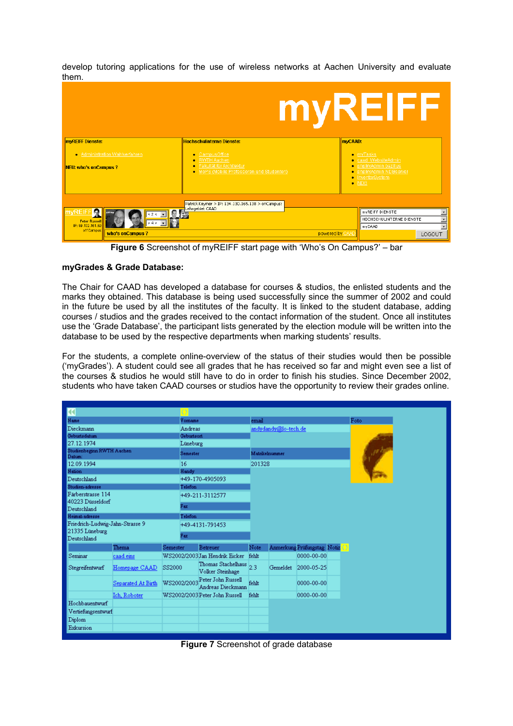develop tutoring applications for the use of wireless networks at Aachen University and evaluate them.

|                                                               |                                                                                                                        |         | <b>MYREIFF</b>                                                                                                                   |
|---------------------------------------------------------------|------------------------------------------------------------------------------------------------------------------------|---------|----------------------------------------------------------------------------------------------------------------------------------|
| <b>myREIFF Dienste:</b>                                       | <b>Hochschulinterne Dienste:</b>                                                                                       | myCAAD: |                                                                                                                                  |
| - Administration Wahlverfahren<br><b>NEU: who's onCampus?</b> | CampusOffice<br>۰<br>RWTH Aachen<br>٠<br>Fakultät für Architektur<br>٠<br>MoPS (Mobile Professoren und Studenten)<br>۰ |         | $\bullet$ myTasks<br>· caad WebsiteAdmin<br>· phpMyAdmin bazillus<br>· phpMyAdmin NDBserver<br>• InventarSystem<br>$\bullet$ NDB |
|                                                               | Patrick Keymer > IP: 134.130.165.138 > onCampus:<br>Lehrgebiet CAAD                                                    |         |                                                                                                                                  |
| $\frac{1}{\sqrt{24}}$<br><b>myREIFF</b><br>$\mathcal{R}$      |                                                                                                                        |         | <b>INVREIFF DIENSTE</b>                                                                                                          |
| <b>Peter Russell</b>                                          |                                                                                                                        |         | $\overline{\phantom{a}}$<br>HOCHSCHULINTERNE DIENSTE                                                                             |
| IP: 80.132.161.50<br>off Campus                               |                                                                                                                        |         | myCAAD                                                                                                                           |
| who's onCampus?                                               | powered by CAAD                                                                                                        |         | LOGOUT                                                                                                                           |

**Figure 6** Screenshot of myREIFF start page with 'Who's On Campus?' – bar

### **myGrades & Grade Database:**

The Chair for CAAD has developed a database for courses & studios, the enlisted students and the marks they obtained. This database is being used successfully since the summer of 2002 and could in the future be used by all the institutes of the faculty. It is linked to the student database, adding courses / studios and the grades received to the contact information of the student. Once all institutes use the 'Grade Database', the participant lists generated by the election module will be written into the database to be used by the respective departments when marking students' results.

For the students, a complete online-overview of the status of their studies would then be possible ('myGrades'). A student could see all grades that he has received so far and might even see a list of the courses & studios he would still have to do in order to finish his studies. Since December 2002, students who have taken CAAD courses or studios have the opportunity to review their grades online.

| к                                                 |                    | $\Omega$ |                                                     |                      |                |                                            |  |             |
|---------------------------------------------------|--------------------|----------|-----------------------------------------------------|----------------------|----------------|--------------------------------------------|--|-------------|
| Name                                              |                    | Vomame   |                                                     | email                |                |                                            |  | Foto        |
| Dieckmann                                         |                    | Andreas  |                                                     | andydandy@lo-tech.de |                |                                            |  |             |
| Geburtsdatum                                      |                    |          | Geburtsort                                          |                      |                |                                            |  |             |
| 27.12.1974                                        |                    |          | Lüneburg                                            |                      |                |                                            |  |             |
| Studienbeginn RWTH Aachen                         |                    |          | Semester                                            |                      | Matrikelnummer |                                            |  | $\sqrt{10}$ |
| Datum:                                            |                    |          |                                                     |                      | 201328         |                                            |  |             |
| 12.09.1994                                        |                    |          | 16                                                  |                      |                |                                            |  |             |
| <b>Nation</b>                                     |                    | Handy    |                                                     |                      |                |                                            |  |             |
| Deutschland                                       |                    |          | +49-170-4905093                                     |                      |                |                                            |  |             |
| Studien-adresse                                   |                    | Telefon  |                                                     |                      |                |                                            |  |             |
| Färberstrasse 114                                 |                    |          | +49-211-3112577                                     |                      |                |                                            |  |             |
| 40223 Düsseldorf                                  |                    | Fax      |                                                     |                      |                |                                            |  |             |
| Deutschland                                       |                    |          |                                                     |                      |                |                                            |  |             |
| Heimat-adresse                                    |                    | Telefon  |                                                     |                      |                |                                            |  |             |
| Friedrich-Ludwig-Jahn-Strasse 9<br>21335 Lüneburg |                    |          | +49-4131-791453                                     |                      |                |                                            |  |             |
| Deutschland                                       |                    | Fax      |                                                     |                      |                |                                            |  |             |
|                                                   |                    |          |                                                     |                      |                |                                            |  |             |
|                                                   | Thema              | Semester | Betreuer                                            | Note                 |                | Anmerkung Prüfungstag Notiz <sup>(3)</sup> |  |             |
| Seminar                                           | caad.eins          |          | WS2002/2003 Jan Hendrik Eicker                      | fehlt                |                | 0000-00-00                                 |  |             |
| Stegreifentwurf                                   | Homepage CAAD      | SS2000   | Thomas Stachelhaus 2.3<br>Volker Steinhage          |                      | Gemeldet       | 2000-05-25                                 |  |             |
|                                                   | Separated At Birth |          | WS2002/2003 Peter John Russell<br>Andreas Dieckmann | fehlt                |                | 0000-00-00                                 |  |             |
|                                                   | Ich, Roboter       |          | WS2002/2003 Peter John Russell                      | fehlt                |                | 0000-00-00                                 |  |             |
| Hochbauentwurf                                    |                    |          |                                                     |                      |                |                                            |  |             |
| Vertiefungsentwurf                                |                    |          |                                                     |                      |                |                                            |  |             |
| Diplom                                            |                    |          |                                                     |                      |                |                                            |  |             |
| Exkursion                                         |                    |          |                                                     |                      |                |                                            |  |             |
|                                                   |                    |          |                                                     |                      |                |                                            |  |             |

**Figure 7** Screenshot of grade database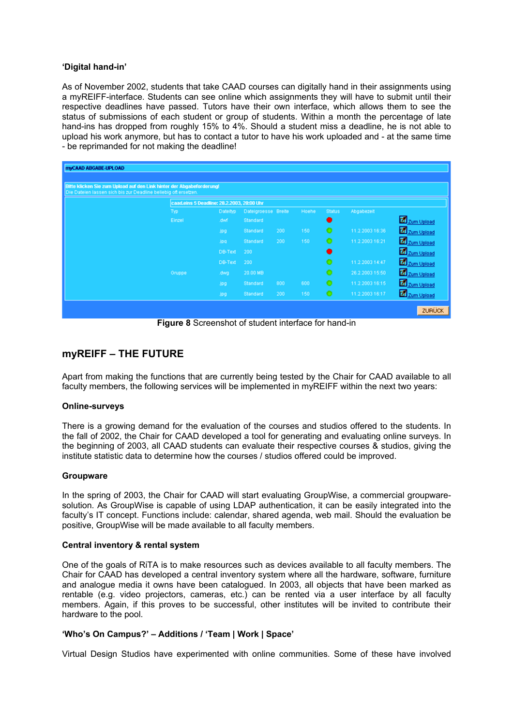#### **'Digital hand-in'**

As of November 2002, students that take CAAD courses can digitally hand in their assignments using a myREIFF-interface. Students can see online which assignments they will have to submit until their respective deadlines have passed. Tutors have their own interface, which allows them to see the status of submissions of each student or group of students. Within a month the percentage of late hand-ins has dropped from roughly 15% to 4%. Should a student miss a deadline, he is not able to upload his work anymore, but has to contact a tutor to have his work uploaded and - at the same time - be reprimanded for not making the deadline!

| myCAAD ABGABE-UPLOAD                                                                                                                     |                                            |                 |                     |     |       |               |                 |            |  |  |
|------------------------------------------------------------------------------------------------------------------------------------------|--------------------------------------------|-----------------|---------------------|-----|-------|---------------|-----------------|------------|--|--|
|                                                                                                                                          |                                            |                 |                     |     |       |               |                 |            |  |  |
| Bitte klicken Sie zum Upload auf den Link hinter der Abgabeforderung!<br>Die Dateien lassen sich bis zur Deadline beliebig oft ersetzen. |                                            |                 |                     |     |       |               |                 |            |  |  |
|                                                                                                                                          | caad.eins 5 Deadline: 28.2.2003, 20:00 Uhr |                 |                     |     |       |               |                 |            |  |  |
|                                                                                                                                          | Typ                                        | <b>Dateityp</b> | Dateigroesse Breite |     | Hoehe | <b>Status</b> | Abgabezeit      |            |  |  |
|                                                                                                                                          | Einzel                                     | dwf             | <b>Standard</b>     |     |       |               |                 | Zum Upload |  |  |
|                                                                                                                                          |                                            | .jpg            | <b>Standard</b>     | 200 | 150   | ۰             | 11.2.2003 16:36 | Zum Upload |  |  |
|                                                                                                                                          |                                            | .ipa            | <b>Standard</b>     | 200 | 150   | ۰             | 11.2.2003 16:21 | Zum Upload |  |  |
|                                                                                                                                          |                                            | DB-Text         | 200                 |     |       |               |                 | Zum Upload |  |  |
|                                                                                                                                          |                                            | DB-Text         | 200                 |     |       | o             | 11.2.2003 14:47 | Zum Upload |  |  |
|                                                                                                                                          | Gruppe                                     | gwb.            | 20.00 MB            |     |       | ۰             | 26.2.2003 15:50 | Zum Upload |  |  |
|                                                                                                                                          |                                            | .jpg            | Standard            | 800 | 600   | ٥             | 11.2.2003 16:15 | Zum Upload |  |  |
|                                                                                                                                          |                                            | .jpg            | Standard            | 200 | 150   | ٥             | 11.2.2003 16:17 | Zum Upload |  |  |
|                                                                                                                                          |                                            |                 |                     |     |       |               |                 |            |  |  |
|                                                                                                                                          |                                            |                 |                     |     |       |               |                 | ZURÜCK     |  |  |

**Figure 8** Screenshot of student interface for hand-in

# **myREIFF – THE FUTURE**

Apart from making the functions that are currently being tested by the Chair for CAAD available to all faculty members, the following services will be implemented in myREIFF within the next two years:

### **Online-surveys**

There is a growing demand for the evaluation of the courses and studios offered to the students. In the fall of 2002, the Chair for CAAD developed a tool for generating and evaluating online surveys. In the beginning of 2003, all CAAD students can evaluate their respective courses & studios, giving the institute statistic data to determine how the courses / studios offered could be improved.

### **Groupware**

In the spring of 2003, the Chair for CAAD will start evaluating GroupWise, a commercial groupwaresolution. As GroupWise is capable of using LDAP authentication, it can be easily integrated into the faculty's IT concept. Functions include: calendar, shared agenda, web mail. Should the evaluation be positive, GroupWise will be made available to all faculty members.

#### **Central inventory & rental system**

One of the goals of RiTA is to make resources such as devices available to all faculty members. The Chair for CAAD has developed a central inventory system where all the hardware, software, furniture and analogue media it owns have been catalogued. In 2003, all objects that have been marked as rentable (e.g. video projectors, cameras, etc.) can be rented via a user interface by all faculty members. Again, if this proves to be successful, other institutes will be invited to contribute their hardware to the pool.

#### **'Who's On Campus?' – Additions / 'Team | Work | Space'**

Virtual Design Studios have experimented with online communities. Some of these have involved